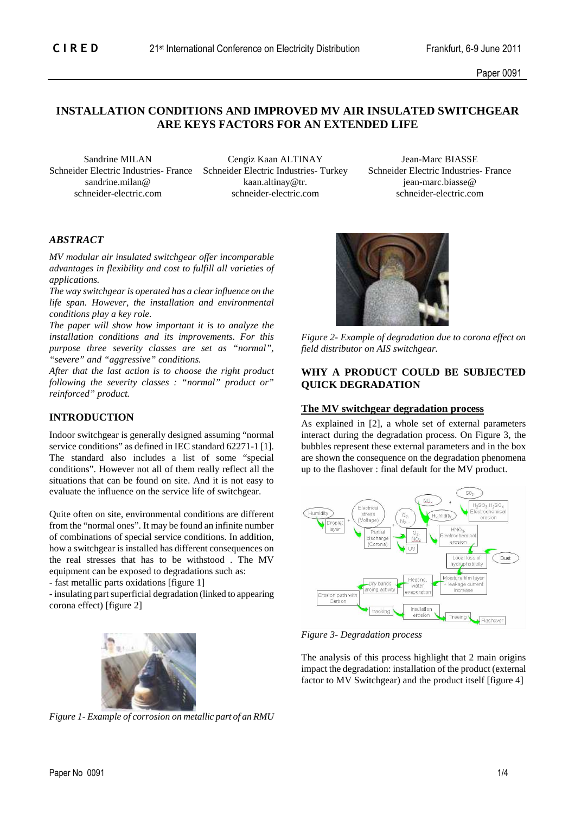# **INSTALLATION CONDITIONS AND IMPROVED MV AIR INSULATED SWITCHGEAR ARE KEYS FACTORS FOR AN EXTENDED LIFE**

 Sandrine MILAN Cengiz Kaan ALTINAY Jean-Marc BIASSE sandrine.milan@ kaan.altinay@tr. is in the early early early early early early early early early early early early early early early early early early early early early early early early early early early early early early schneider-electric.com schneider-electric.com schneider-electric.com

Schneider Electric Industries- France Schneider Electric Industries- Turkey Schneider Electric Industries- France

# *ABSTRACT*

*MV modular air insulated switchgear offer incomparable advantages in flexibility and cost to fulfill all varieties of applications.* 

*The way switchgear is operated has a clear influence on the life span. However, the installation and environmental conditions play a key role.* 

*The paper will show how important it is to analyze the installation conditions and its improvements. For this purpose three severity classes are set as "normal", "severe" and "aggressive" conditions.* 

*After that the last action is to choose the right product following the severity classes : "normal" product or" reinforced" product.* 

#### **INTRODUCTION**

Indoor switchgear is generally designed assuming "normal service conditions" as defined in IEC standard 62271-1 [1]. The standard also includes a list of some "special conditions". However not all of them really reflect all the situations that can be found on site. And it is not easy to evaluate the influence on the service life of switchgear.

Quite often on site, environmental conditions are different from the "normal ones". It may be found an infinite number of combinations of special service conditions. In addition, how a switchgear is installed has different consequences on the real stresses that has to be withstood . The MV equipment can be exposed to degradations such as:

- fast metallic parts oxidations [figure 1]

- insulating part superficial degradation (linked to appearing corona effect) [figure 2]



*Figure 1- Example of corrosion on metallic part of an RMU* 



*Figure 2- Example of degradation due to corona effect on field distributor on AIS switchgear.*

### **WHY A PRODUCT COULD BE SUBJECTED QUICK DEGRADATION**

#### **The MV switchgear degradation process**

As explained in [2], a whole set of external parameters interact during the degradation process. On Figure 3, the bubbles represent these external parameters and in the box are shown the consequence on the degradation phenomena up to the flashover : final default for the MV product.



*Figure 3- Degradation process* 

The analysis of this process highlight that 2 main origins impact the degradation: installation of the product (external factor to MV Switchgear) and the product itself [figure 4]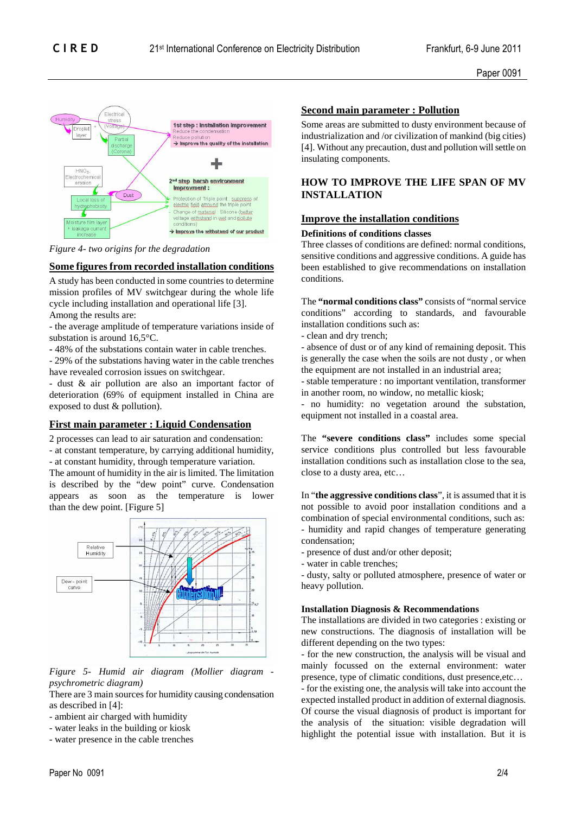

*Figure 4- two origins for the degradation* 

# **Some figures from recorded installation conditions**

A study has been conducted in some countries to determine mission profiles of MV switchgear during the whole life cycle including installation and operational life [3]. Among the results are:

- the average amplitude of temperature variations inside of substation is around 16,5°C.

**-** 48% of the substations contain water in cable trenches.

- 29% of the substations having water in the cable trenches have revealed corrosion issues on switchgear.

- dust & air pollution are also an important factor of deterioration (69% of equipment installed in China are exposed to dust & pollution).

### **First main parameter : Liquid Condensation**

2 processes can lead to air saturation and condensation: - at constant temperature, by carrying additional humidity,

- at constant humidity, through temperature variation.

The amount of humidity in the air is limited. The limitation is described by the "dew point" curve. Condensation appears as soon as the temperature is lower than the dew point. [Figure 5]



*Figure 5- Humid air diagram (Mollier diagram psychrometric diagram)* 

There are 3 main sources for humidity causing condensation as described in [4]:

- ambient air charged with humidity

- water leaks in the building or kiosk

- water presence in the cable trenches

# **Second main parameter : Pollution**

Some areas are submitted to dusty environment because of industrialization and /or civilization of mankind (big cities) [4]. Without any precaution, dust and pollution will settle on insulating components.

# **HOW TO IMPROVE THE LIFE SPAN OF MV INSTALLATION**

# **Improve the installation conditions**

### **Definitions of conditions classes**

Three classes of conditions are defined: normal conditions, sensitive conditions and aggressive conditions. A guide has been established to give recommendations on installation conditions.

The **"normal conditions class"** consists of "normal service conditions" according to standards, and favourable installation conditions such as:

- clean and dry trench;

- absence of dust or of any kind of remaining deposit. This is generally the case when the soils are not dusty , or when the equipment are not installed in an industrial area;

- stable temperature : no important ventilation, transformer in another room, no window, no metallic kiosk;

- no humidity: no vegetation around the substation, equipment not installed in a coastal area.

The **"severe conditions class"** includes some special service conditions plus controlled but less favourable installation conditions such as installation close to the sea, close to a dusty area, etc…

In "**the aggressive conditions class**", it is assumed that it is not possible to avoid poor installation conditions and a combination of special environmental conditions, such as: - humidity and rapid changes of temperature generating condensation;

- presence of dust and/or other deposit;

- water in cable trenches;

- dusty, salty or polluted atmosphere, presence of water or heavy pollution.

### **Installation Diagnosis & Recommendations**

The installations are divided in two categories : existing or new constructions. The diagnosis of installation will be different depending on the two types:

- for the new construction, the analysis will be visual and mainly focussed on the external environment: water presence, type of climatic conditions, dust presence,etc…

- for the existing one, the analysis will take into account the expected installed product in addition of external diagnosis. Of course the visual diagnosis of product is important for the analysis of the situation: visible degradation will highlight the potential issue with installation. But it is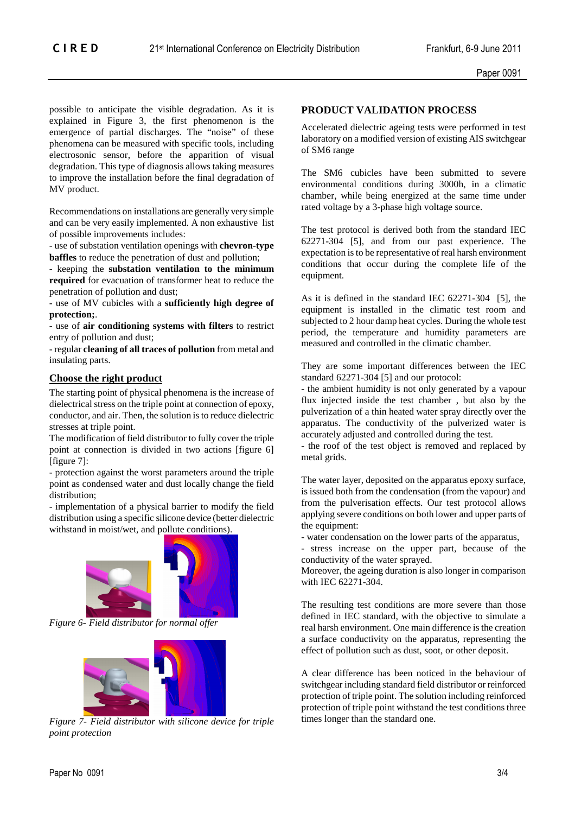possible to anticipate the visible degradation. As it is explained in Figure 3, the first phenomenon is the emergence of partial discharges. The "noise" of these phenomena can be measured with specific tools, including electrosonic sensor, before the apparition of visual degradation. This type of diagnosis allows taking measures to improve the installation before the final degradation of MV product.

Recommendations on installations are generally very simple and can be very easily implemented. A non exhaustive list of possible improvements includes:

- use of substation ventilation openings with **chevron-type baffles** to reduce the penetration of dust and pollution;

- keeping the **substation ventilation to the minimum required** for evacuation of transformer heat to reduce the penetration of pollution and dust;

- use of MV cubicles with a **sufficiently high degree of protection;**.

- use of **air conditioning systems with filters** to restrict entry of pollution and dust;

- regular **cleaning of all traces of pollution** from metal and insulating parts.

### **Choose the right product**

The starting point of physical phenomena is the increase of dielectrical stress on the triple point at connection of epoxy, conductor, and air. Then, the solution is to reduce dielectric stresses at triple point.

The modification of field distributor to fully cover the triple point at connection is divided in two actions [figure 6] [figure 7]:

- protection against the worst parameters around the triple point as condensed water and dust locally change the field distribution;

- implementation of a physical barrier to modify the field distribution using a specific silicone device (better dielectric withstand in moist/wet, and pollute conditions).



*Figure 6- Field distributor for normal offer* 



*Figure 7- Field distributor with silicone device for triple point protection* 

### **PRODUCT VALIDATION PROCESS**

Accelerated dielectric ageing tests were performed in test laboratory on a modified version of existing AIS switchgear of SM6 range

The SM6 cubicles have been submitted to severe environmental conditions during 3000h, in a climatic chamber, while being energized at the same time under rated voltage by a 3-phase high voltage source.

The test protocol is derived both from the standard IEC 62271-304 [5], and from our past experience. The expectation is to be representative of real harsh environment conditions that occur during the complete life of the equipment.

As it is defined in the standard IEC 62271-304 [5], the equipment is installed in the climatic test room and subjected to 2 hour damp heat cycles. During the whole test period, the temperature and humidity parameters are measured and controlled in the climatic chamber.

They are some important differences between the IEC standard 62271-304 [5] and our protocol:

- the ambient humidity is not only generated by a vapour flux injected inside the test chamber , but also by the pulverization of a thin heated water spray directly over the apparatus. The conductivity of the pulverized water is accurately adjusted and controlled during the test.

- the roof of the test object is removed and replaced by metal grids.

The water layer, deposited on the apparatus epoxy surface, is issued both from the condensation (from the vapour) and from the pulverisation effects. Our test protocol allows applying severe conditions on both lower and upper parts of the equipment:

- water condensation on the lower parts of the apparatus,

- stress increase on the upper part, because of the conductivity of the water sprayed.

Moreover, the ageing duration is also longer in comparison with IEC 62271-304.

The resulting test conditions are more severe than those defined in IEC standard, with the objective to simulate a real harsh environment. One main difference is the creation a surface conductivity on the apparatus, representing the effect of pollution such as dust, soot, or other deposit.

A clear difference has been noticed in the behaviour of switchgear including standard field distributor or reinforced protection of triple point. The solution including reinforced protection of triple point withstand the test conditions three times longer than the standard one.